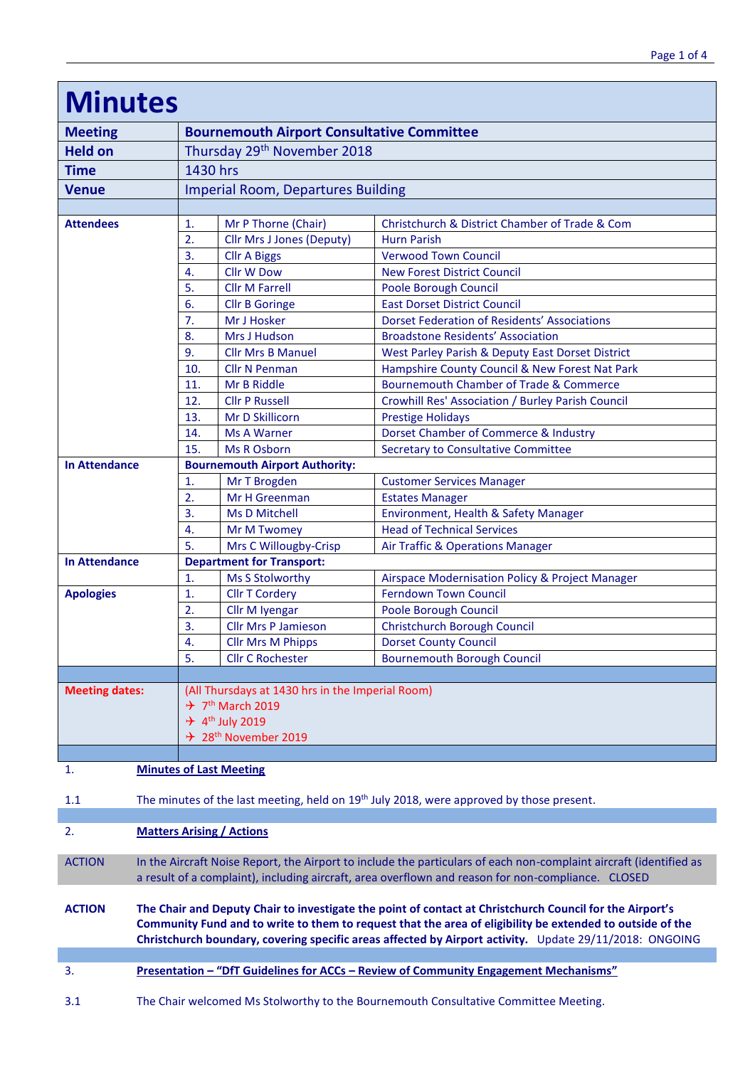| <b>Minutes</b>        |  |                                                                                                                                                                                                                                                                                                                                  |                                                     |                                                                                              |  |  |  |
|-----------------------|--|----------------------------------------------------------------------------------------------------------------------------------------------------------------------------------------------------------------------------------------------------------------------------------------------------------------------------------|-----------------------------------------------------|----------------------------------------------------------------------------------------------|--|--|--|
| <b>Meeting</b>        |  | <b>Bournemouth Airport Consultative Committee</b>                                                                                                                                                                                                                                                                                |                                                     |                                                                                              |  |  |  |
| <b>Held on</b>        |  | Thursday 29th November 2018                                                                                                                                                                                                                                                                                                      |                                                     |                                                                                              |  |  |  |
| <b>Time</b>           |  | 1430 hrs                                                                                                                                                                                                                                                                                                                         |                                                     |                                                                                              |  |  |  |
| <b>Venue</b>          |  | <b>Imperial Room, Departures Building</b>                                                                                                                                                                                                                                                                                        |                                                     |                                                                                              |  |  |  |
|                       |  |                                                                                                                                                                                                                                                                                                                                  |                                                     |                                                                                              |  |  |  |
| <b>Attendees</b>      |  | 1.                                                                                                                                                                                                                                                                                                                               | Mr P Thorne (Chair)                                 | Christchurch & District Chamber of Trade & Com                                               |  |  |  |
|                       |  | 2.                                                                                                                                                                                                                                                                                                                               | <b>Cllr Mrs J Jones (Deputy)</b>                    | <b>Hurn Parish</b>                                                                           |  |  |  |
|                       |  | 3.                                                                                                                                                                                                                                                                                                                               | <b>Cllr A Biggs</b>                                 | <b>Verwood Town Council</b>                                                                  |  |  |  |
|                       |  | 4.                                                                                                                                                                                                                                                                                                                               | <b>Cllr W Dow</b>                                   | <b>New Forest District Council</b>                                                           |  |  |  |
|                       |  | 5.                                                                                                                                                                                                                                                                                                                               | <b>Cllr M Farrell</b>                               | Poole Borough Council                                                                        |  |  |  |
|                       |  | 6.                                                                                                                                                                                                                                                                                                                               | <b>Cllr B Goringe</b>                               | <b>East Dorset District Council</b>                                                          |  |  |  |
|                       |  | 7.                                                                                                                                                                                                                                                                                                                               | Mr J Hosker                                         | <b>Dorset Federation of Residents' Associations</b>                                          |  |  |  |
|                       |  | 8.<br>9.                                                                                                                                                                                                                                                                                                                         | Mrs J Hudson<br><b>Cllr Mrs B Manuel</b>            | <b>Broadstone Residents' Association</b><br>West Parley Parish & Deputy East Dorset District |  |  |  |
|                       |  | 10.                                                                                                                                                                                                                                                                                                                              | <b>Cllr N Penman</b>                                | Hampshire County Council & New Forest Nat Park                                               |  |  |  |
|                       |  | 11.                                                                                                                                                                                                                                                                                                                              | Mr B Riddle                                         | <b>Bournemouth Chamber of Trade &amp; Commerce</b>                                           |  |  |  |
|                       |  | 12.                                                                                                                                                                                                                                                                                                                              | <b>Cllr P Russell</b>                               | Crowhill Res' Association / Burley Parish Council                                            |  |  |  |
|                       |  | 13.                                                                                                                                                                                                                                                                                                                              | Mr D Skillicorn                                     | <b>Prestige Holidays</b>                                                                     |  |  |  |
|                       |  | 14.                                                                                                                                                                                                                                                                                                                              | <b>Ms A Warner</b>                                  | Dorset Chamber of Commerce & Industry                                                        |  |  |  |
|                       |  | 15.                                                                                                                                                                                                                                                                                                                              | <b>Ms R Osborn</b>                                  | <b>Secretary to Consultative Committee</b>                                                   |  |  |  |
| <b>In Attendance</b>  |  |                                                                                                                                                                                                                                                                                                                                  | <b>Bournemouth Airport Authority:</b>               |                                                                                              |  |  |  |
|                       |  | 1.                                                                                                                                                                                                                                                                                                                               | Mr T Brogden                                        | <b>Customer Services Manager</b>                                                             |  |  |  |
|                       |  | 2.                                                                                                                                                                                                                                                                                                                               | Mr H Greenman                                       | <b>Estates Manager</b>                                                                       |  |  |  |
|                       |  | 3.                                                                                                                                                                                                                                                                                                                               | <b>Ms D Mitchell</b>                                | Environment, Health & Safety Manager                                                         |  |  |  |
|                       |  | 4.                                                                                                                                                                                                                                                                                                                               | Mr M Twomey                                         | <b>Head of Technical Services</b>                                                            |  |  |  |
|                       |  | 5.<br>Mrs C Willougby-Crisp<br>Air Traffic & Operations Manager                                                                                                                                                                                                                                                                  |                                                     |                                                                                              |  |  |  |
| <b>In Attendance</b>  |  | 1.                                                                                                                                                                                                                                                                                                                               | <b>Department for Transport:</b><br>Ms S Stolworthy | Airspace Modernisation Policy & Project Manager                                              |  |  |  |
| <b>Apologies</b>      |  | 1.                                                                                                                                                                                                                                                                                                                               | <b>Cllr T Cordery</b>                               | <b>Ferndown Town Council</b>                                                                 |  |  |  |
|                       |  | 2.                                                                                                                                                                                                                                                                                                                               | Cllr M Iyengar                                      | Poole Borough Council                                                                        |  |  |  |
|                       |  | 3.                                                                                                                                                                                                                                                                                                                               | <b>Cllr Mrs P Jamieson</b>                          | <b>Christchurch Borough Council</b>                                                          |  |  |  |
|                       |  | $\overline{4}$ .                                                                                                                                                                                                                                                                                                                 | <b>Cllr Mrs M Phipps</b>                            | <b>Dorset County Council</b>                                                                 |  |  |  |
|                       |  | 5.                                                                                                                                                                                                                                                                                                                               | <b>Cllr C Rochester</b>                             | <b>Bournemouth Borough Council</b>                                                           |  |  |  |
|                       |  |                                                                                                                                                                                                                                                                                                                                  |                                                     |                                                                                              |  |  |  |
| <b>Meeting dates:</b> |  | (All Thursdays at 1430 hrs in the Imperial Room)                                                                                                                                                                                                                                                                                 |                                                     |                                                                                              |  |  |  |
|                       |  | $\div$ 7 <sup>th</sup> March 2019                                                                                                                                                                                                                                                                                                |                                                     |                                                                                              |  |  |  |
|                       |  | $\div$ 4 <sup>th</sup> July 2019<br>$\div$ 28 <sup>th</sup> November 2019                                                                                                                                                                                                                                                        |                                                     |                                                                                              |  |  |  |
|                       |  |                                                                                                                                                                                                                                                                                                                                  |                                                     |                                                                                              |  |  |  |
| 1.                    |  |                                                                                                                                                                                                                                                                                                                                  | <b>Minutes of Last Meeting</b>                      |                                                                                              |  |  |  |
| 1.1                   |  | The minutes of the last meeting, held on 19 <sup>th</sup> July 2018, were approved by those present.                                                                                                                                                                                                                             |                                                     |                                                                                              |  |  |  |
|                       |  |                                                                                                                                                                                                                                                                                                                                  |                                                     |                                                                                              |  |  |  |
| 2.                    |  | <b>Matters Arising / Actions</b>                                                                                                                                                                                                                                                                                                 |                                                     |                                                                                              |  |  |  |
| <b>ACTION</b>         |  | In the Aircraft Noise Report, the Airport to include the particulars of each non-complaint aircraft (identified as<br>a result of a complaint), including aircraft, area overflown and reason for non-compliance. CLOSED                                                                                                         |                                                     |                                                                                              |  |  |  |
| <b>ACTION</b>         |  | The Chair and Deputy Chair to investigate the point of contact at Christchurch Council for the Airport's<br>Community Fund and to write to them to request that the area of eligibility be extended to outside of the<br>Christchurch boundary, covering specific areas affected by Airport activity. Update 29/11/2018: ONGOING |                                                     |                                                                                              |  |  |  |
| 3.                    |  | Presentation - "DfT Guidelines for ACCs - Review of Community Engagement Mechanisms"                                                                                                                                                                                                                                             |                                                     |                                                                                              |  |  |  |
| 3.1                   |  | The Chair welcomed Ms Stolworthy to the Bournemouth Consultative Committee Meeting.                                                                                                                                                                                                                                              |                                                     |                                                                                              |  |  |  |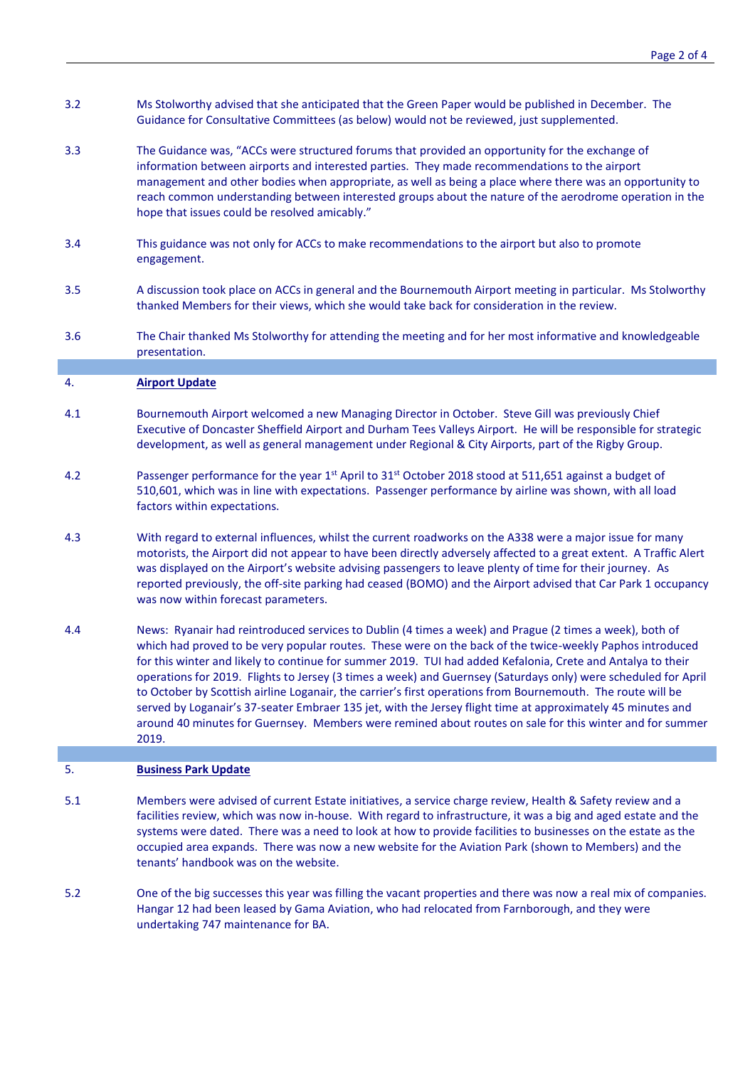- 3.2 Ms Stolworthy advised that she anticipated that the Green Paper would be published in December. The Guidance for Consultative Committees (as below) would not be reviewed, just supplemented.
- 3.3 The Guidance was, "ACCs were structured forums that provided an opportunity for the exchange of information between airports and interested parties. They made recommendations to the airport management and other bodies when appropriate, as well as being a place where there was an opportunity to reach common understanding between interested groups about the nature of the aerodrome operation in the hope that issues could be resolved amicably."
- 3.4 This guidance was not only for ACCs to make recommendations to the airport but also to promote engagement.
- 3.5 A discussion took place on ACCs in general and the Bournemouth Airport meeting in particular. Ms Stolworthy thanked Members for their views, which she would take back for consideration in the review.
- 3.6 The Chair thanked Ms Stolworthy for attending the meeting and for her most informative and knowledgeable presentation.

### 4. **Airport Update**

- 4.1 Bournemouth Airport welcomed a new Managing Director in October. Steve Gill was previously Chief Executive of Doncaster Sheffield Airport and Durham Tees Valleys Airport. He will be responsible for strategic development, as well as general management under Regional & City Airports, part of the Rigby Group.
- 4.2 Passenger performance for the year 1<sup>st</sup> April to 31<sup>st</sup> October 2018 stood at 511,651 against a budget of 510,601, which was in line with expectations. Passenger performance by airline was shown, with all load factors within expectations.
- 4.3 With regard to external influences, whilst the current roadworks on the A338 were a major issue for many motorists, the Airport did not appear to have been directly adversely affected to a great extent. A Traffic Alert was displayed on the Airport's website advising passengers to leave plenty of time for their journey. As reported previously, the off-site parking had ceased (BOMO) and the Airport advised that Car Park 1 occupancy was now within forecast parameters.
- 4.4 News: Ryanair had reintroduced services to Dublin (4 times a week) and Prague (2 times a week), both of which had proved to be very popular routes. These were on the back of the twice-weekly Paphos introduced for this winter and likely to continue for summer 2019. TUI had added Kefalonia, Crete and Antalya to their operations for 2019. Flights to Jersey (3 times a week) and Guernsey (Saturdays only) were scheduled for April to October by Scottish airline Loganair, the carrier's first operations from Bournemouth. The route will be served by Loganair's 37-seater Embraer 135 jet, with the Jersey flight time at approximately 45 minutes and around 40 minutes for Guernsey. Members were remined about routes on sale for this winter and for summer 2019.

# 5. **Business Park Update**

- 5.1 Members were advised of current Estate initiatives, a service charge review, Health & Safety review and a facilities review, which was now in-house. With regard to infrastructure, it was a big and aged estate and the systems were dated. There was a need to look at how to provide facilities to businesses on the estate as the occupied area expands. There was now a new website for the Aviation Park (shown to Members) and the tenants' handbook was on the website.
- 5.2 One of the big successes this year was filling the vacant properties and there was now a real mix of companies. Hangar 12 had been leased by Gama Aviation, who had relocated from Farnborough, and they were undertaking 747 maintenance for BA.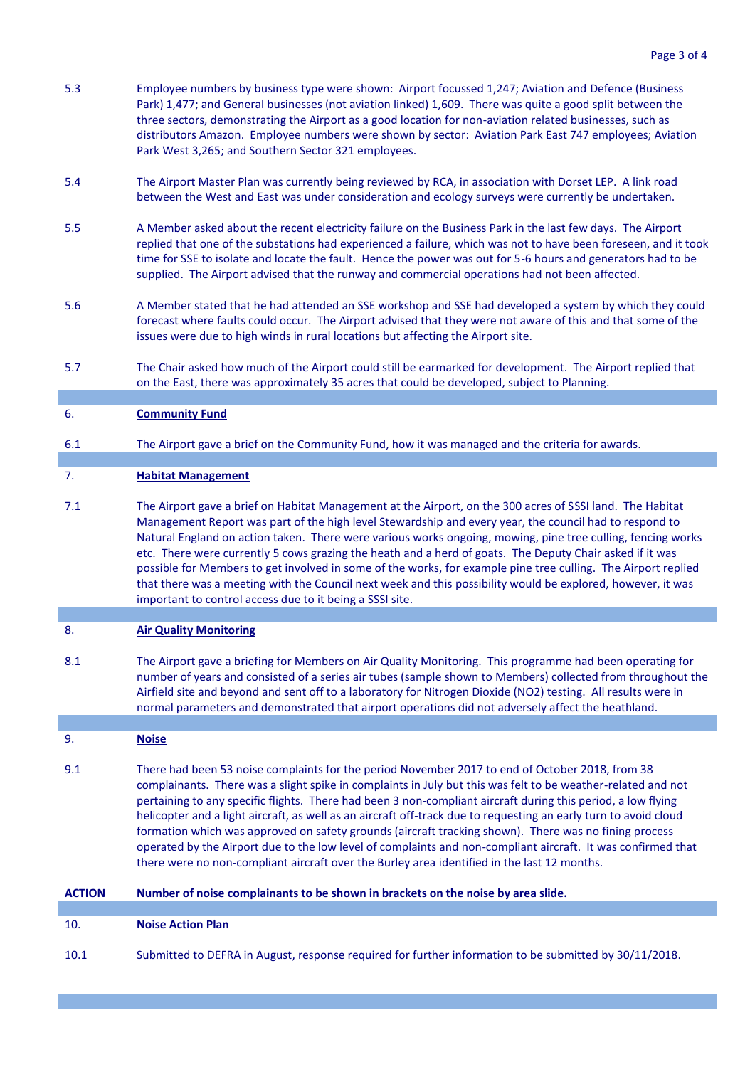- 5.3 Employee numbers by business type were shown: Airport focussed 1,247; Aviation and Defence (Business Park) 1,477; and General businesses (not aviation linked) 1,609. There was quite a good split between the three sectors, demonstrating the Airport as a good location for non-aviation related businesses, such as distributors Amazon. Employee numbers were shown by sector: Aviation Park East 747 employees; Aviation Park West 3,265; and Southern Sector 321 employees.
- 5.4 The Airport Master Plan was currently being reviewed by RCA, in association with Dorset LEP. A link road between the West and East was under consideration and ecology surveys were currently be undertaken.
- 5.5 A Member asked about the recent electricity failure on the Business Park in the last few days. The Airport replied that one of the substations had experienced a failure, which was not to have been foreseen, and it took time for SSE to isolate and locate the fault. Hence the power was out for 5-6 hours and generators had to be supplied. The Airport advised that the runway and commercial operations had not been affected.
- 5.6 A Member stated that he had attended an SSE workshop and SSE had developed a system by which they could forecast where faults could occur. The Airport advised that they were not aware of this and that some of the issues were due to high winds in rural locations but affecting the Airport site.
- 5.7 The Chair asked how much of the Airport could still be earmarked for development. The Airport replied that on the East, there was approximately 35 acres that could be developed, subject to Planning.

### 6. **Community Fund**

6.1 The Airport gave a brief on the Community Fund, how it was managed and the criteria for awards.

### 7. **Habitat Management**

7.1 The Airport gave a brief on Habitat Management at the Airport, on the 300 acres of SSSI land. The Habitat Management Report was part of the high level Stewardship and every year, the council had to respond to Natural England on action taken. There were various works ongoing, mowing, pine tree culling, fencing works etc. There were currently 5 cows grazing the heath and a herd of goats. The Deputy Chair asked if it was possible for Members to get involved in some of the works, for example pine tree culling. The Airport replied that there was a meeting with the Council next week and this possibility would be explored, however, it was important to control access due to it being a SSSI site.

# 8. **Air Quality Monitoring**

8.1 The Airport gave a briefing for Members on Air Quality Monitoring. This programme had been operating for number of years and consisted of a series air tubes (sample shown to Members) collected from throughout the Airfield site and beyond and sent off to a laboratory for Nitrogen Dioxide (NO2) testing. All results were in normal parameters and demonstrated that airport operations did not adversely affect the heathland.

### 9. **Noise**

9.1 There had been 53 noise complaints for the period November 2017 to end of October 2018, from 38 complainants. There was a slight spike in complaints in July but this was felt to be weather-related and not pertaining to any specific flights. There had been 3 non-compliant aircraft during this period, a low flying helicopter and a light aircraft, as well as an aircraft off-track due to requesting an early turn to avoid cloud formation which was approved on safety grounds (aircraft tracking shown). There was no fining process operated by the Airport due to the low level of complaints and non-compliant aircraft. It was confirmed that there were no non-compliant aircraft over the Burley area identified in the last 12 months.

|  | <b>ACTION</b> | Number of noise complainants to be shown in brackets on the noise by area slide. |  |
|--|---------------|----------------------------------------------------------------------------------|--|
|--|---------------|----------------------------------------------------------------------------------|--|

# 10. **Noise Action Plan**

10.1 Submitted to DEFRA in August, response required for further information to be submitted by 30/11/2018.